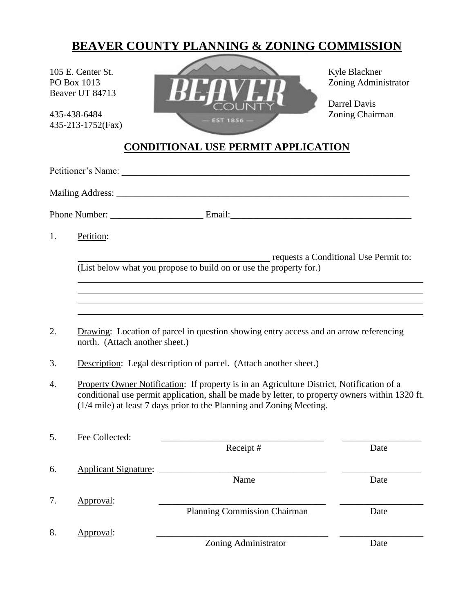# **BEAVER COUNTY PLANNING & ZONING COMMISSION**

Beaver UT 84713

435-213-1752(Fax)



Darrel Davis

# **CONDITIONAL USE PERMIT APPLICATION**

| 1. | Petition:                                                                                                                                                                                                                                                            |                                     |      |  |  |
|----|----------------------------------------------------------------------------------------------------------------------------------------------------------------------------------------------------------------------------------------------------------------------|-------------------------------------|------|--|--|
|    | requests a Conditional Use Permit to:<br>(List below what you propose to build on or use the property for.)                                                                                                                                                          |                                     |      |  |  |
| 2. |                                                                                                                                                                                                                                                                      |                                     |      |  |  |
|    | Drawing: Location of parcel in question showing entry access and an arrow referencing<br>north. (Attach another sheet.)                                                                                                                                              |                                     |      |  |  |
| 3. | Description: Legal description of parcel. (Attach another sheet.)                                                                                                                                                                                                    |                                     |      |  |  |
| 4. | Property Owner Notification: If property is in an Agriculture District, Notification of a<br>conditional use permit application, shall be made by letter, to property owners within 1320 ft.<br>(1/4 mile) at least 7 days prior to the Planning and Zoning Meeting. |                                     |      |  |  |
| 5. | Fee Collected:                                                                                                                                                                                                                                                       | Receipt#                            | Date |  |  |
| 6. | Applicant Signature:                                                                                                                                                                                                                                                 | Name                                | Date |  |  |
| 7. | Approval:                                                                                                                                                                                                                                                            | <b>Planning Commission Chairman</b> | Date |  |  |
| 8. | Approval:                                                                                                                                                                                                                                                            | Zoning Administrator                | Date |  |  |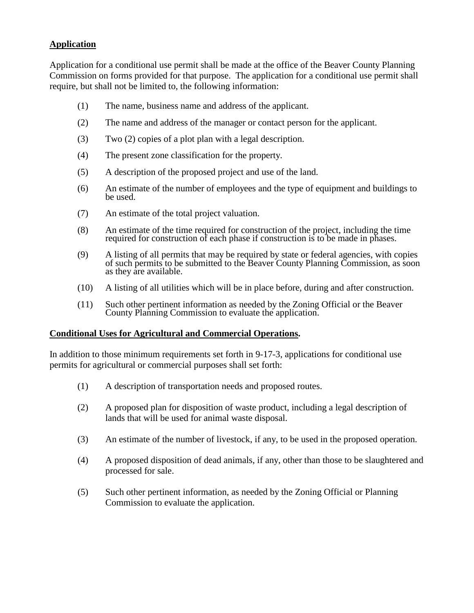## **Application**

Application for a conditional use permit shall be made at the office of the Beaver County Planning Commission on forms provided for that purpose. The application for a conditional use permit shall require, but shall not be limited to, the following information:

- (1) The name, business name and address of the applicant.
- (2) The name and address of the manager or contact person for the applicant.
- (3) Two (2) copies of a plot plan with a legal description.
- (4) The present zone classification for the property.
- (5) A description of the proposed project and use of the land.
- (6) An estimate of the number of employees and the type of equipment and buildings to be used.
- (7) An estimate of the total project valuation.
- (8) An estimate of the time required for construction of the project, including the time required for construction of each phase if construction is to be made in phases.
- (9) A listing of all permits that may be required by state or federal agencies, with copies of such permits to be submitted to the Beaver County Planning Commission, as soon as they are available.
- (10) A listing of all utilities which will be in place before, during and after construction.
- (11) Such other pertinent information as needed by the Zoning Official or the Beaver County Planning Commission to evaluate the application.

#### **Conditional Uses for Agricultural and Commercial Operations.**

In addition to those minimum requirements set forth in 9-17-3, applications for conditional use permits for agricultural or commercial purposes shall set forth:

- (1) A description of transportation needs and proposed routes.
- (2) A proposed plan for disposition of waste product, including a legal description of lands that will be used for animal waste disposal.
- (3) An estimate of the number of livestock, if any, to be used in the proposed operation.
- (4) A proposed disposition of dead animals, if any, other than those to be slaughtered and processed for sale.
- (5) Such other pertinent information, as needed by the Zoning Official or Planning Commission to evaluate the application.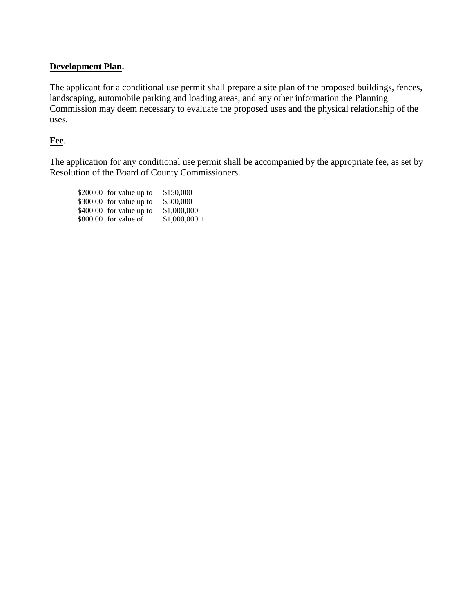## **Development Plan.**

The applicant for a conditional use permit shall prepare a site plan of the proposed buildings, fences, landscaping, automobile parking and loading areas, and any other information the Planning Commission may deem necessary to evaluate the proposed uses and the physical relationship of the uses.

### **Fee**.

The application for any conditional use permit shall be accompanied by the appropriate fee, as set by Resolution of the Board of County Commissioners.

| \$200.00 for value up to | \$150,000      |
|--------------------------|----------------|
| \$300.00 for value up to | \$500,000      |
| \$400.00 for value up to | \$1,000,000    |
| \$800.00 for value of    | $$1,000,000 +$ |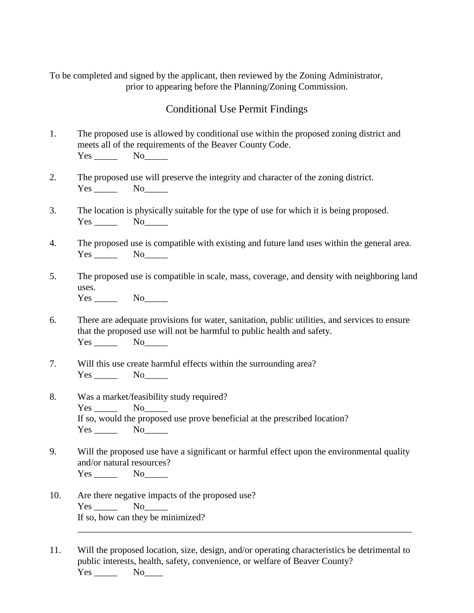To be completed and signed by the applicant, then reviewed by the Zoning Administrator, prior to appearing before the Planning/Zoning Commission.

# Conditional Use Permit Findings

- 1. The proposed use is allowed by conditional use within the proposed zoning district and meets all of the requirements of the Beaver County Code. Yes No<sub>\_\_\_\_\_</sub>
- 2. The proposed use will preserve the integrity and character of the zoning district. Yes No
- 3. The location is physically suitable for the type of use for which it is being proposed. Yes No<sub>No</sub>
- 4. The proposed use is compatible with existing and future land uses within the general area. Yes No
- 5. The proposed use is compatible in scale, mass, coverage, and density with neighboring land uses. Yes No
- 6. There are adequate provisions for water, sanitation, public utilities, and services to ensure that the proposed use will not be harmful to public health and safety. Yes No
- 7. Will this use create harmful effects within the surrounding area? Yes No
- 8. Was a market/feasibility study required? Yes No If so, would the proposed use prove beneficial at the prescribed location? Yes No
- 9. Will the proposed use have a significant or harmful effect upon the environmental quality and/or natural resources? Yes No
- 10. Are there negative impacts of the proposed use?  $Yes \_\_\_\_$  No\_ If so, how can they be minimized? \_\_\_\_\_\_\_\_\_\_\_\_\_\_\_\_\_\_\_\_\_\_\_\_\_\_\_\_\_\_\_\_\_\_\_\_\_\_\_\_\_\_\_\_\_\_\_\_\_\_\_\_\_\_\_\_\_\_\_\_\_\_\_\_\_\_\_\_\_\_\_\_

11. Will the proposed location, size, design, and/or operating characteristics be detrimental to public interests, health, safety, convenience, or welfare of Beaver County? Yes No